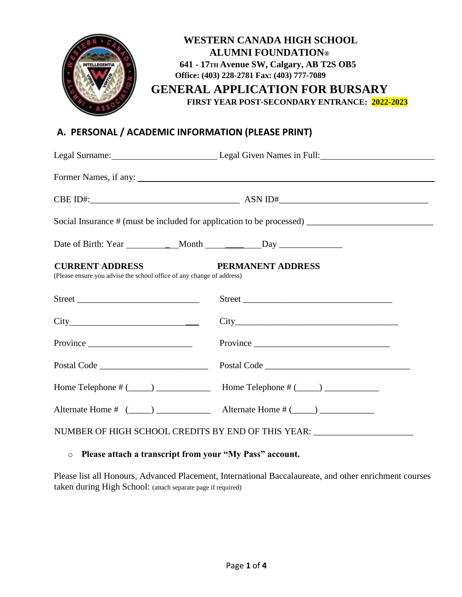

# **A. PERSONAL / ACADEMIC INFORMATION (PLEASE PRINT)**

|                                                                                                                      | Legal Surname: Legal Given Names in Full: Legal Given Names in Full:                                 |  |  |  |
|----------------------------------------------------------------------------------------------------------------------|------------------------------------------------------------------------------------------------------|--|--|--|
|                                                                                                                      |                                                                                                      |  |  |  |
|                                                                                                                      |                                                                                                      |  |  |  |
|                                                                                                                      | Social Insurance # (must be included for application to be processed) ______________________________ |  |  |  |
|                                                                                                                      |                                                                                                      |  |  |  |
| <b>CURRENT ADDRESS</b><br>PERMANENT ADDRESS<br>(Please ensure you advise the school office of any change of address) |                                                                                                      |  |  |  |
|                                                                                                                      |                                                                                                      |  |  |  |
|                                                                                                                      |                                                                                                      |  |  |  |
|                                                                                                                      |                                                                                                      |  |  |  |
|                                                                                                                      |                                                                                                      |  |  |  |
|                                                                                                                      |                                                                                                      |  |  |  |
|                                                                                                                      |                                                                                                      |  |  |  |
| NUMBER OF HIGH SCHOOL CREDITS BY END OF THIS YEAR: _____________________________                                     |                                                                                                      |  |  |  |

#### o **Please attach a transcript from your "My Pass" account.**

Please list all Honours, Advanced Placement, International Baccalaureate, and other enrichment courses taken during High School: (attach separate page if required)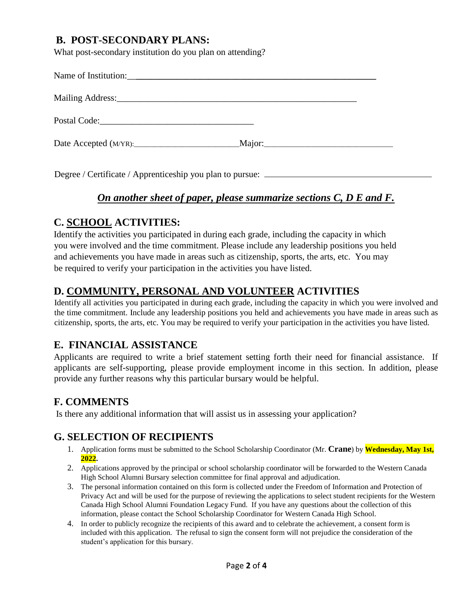# **B. POST-SECONDARY PLANS:**

What post-secondary institution do you plan on attending?

Degree / Certificate / Apprenticeship you plan to pursue:  $\equiv$ 

# *On another sheet of paper, please summarize sections C, D E and F.*

# **C. SCHOOL ACTIVITIES:**

Identify the activities you participated in during each grade, including the capacity in which you were involved and the time commitment. Please include any leadership positions you held and achievements you have made in areas such as citizenship, sports, the arts, etc. You may be required to verify your participation in the activities you have listed.

# **D. COMMUNITY, PERSONAL AND VOLUNTEER ACTIVITIES**

Identify all activities you participated in during each grade, including the capacity in which you were involved and the time commitment. Include any leadership positions you held and achievements you have made in areas such as citizenship, sports, the arts, etc. You may be required to verify your participation in the activities you have listed.

# **E. FINANCIAL ASSISTANCE**

Applicants are required to write a brief statement setting forth their need for financial assistance. If applicants are self-supporting, please provide employment income in this section. In addition, please provide any further reasons why this particular bursary would be helpful.

# **F. COMMENTS**

Is there any additional information that will assist us in assessing your application?

#### **G. SELECTION OF RECIPIENTS**

- 1. Application forms must be submitted to the School Scholarship Coordinator (Mr. **Crane**) by **Wednesday, May 1st, 2022.**
- 2. Applications approved by the principal or school scholarship coordinator will be forwarded to the Western Canada High School Alumni Bursary selection committee for final approval and adjudication.
- 3. The personal information contained on this form is collected under the Freedom of Information and Protection of Privacy Act and will be used for the purpose of reviewing the applications to select student recipients for the Western Canada High School Alumni Foundation Legacy Fund. If you have any questions about the collection of this information, please contact the School Scholarship Coordinator for Western Canada High School.
- 4. In order to publicly recognize the recipients of this award and to celebrate the achievement, a consent form is included with this application. The refusal to sign the consent form will not prejudice the consideration of the student's application for this bursary.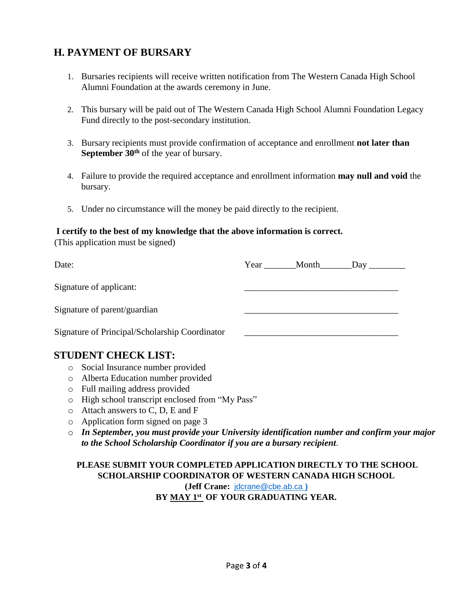# **H. PAYMENT OF BURSARY**

- 1. Bursaries recipients will receive written notification from The Western Canada High School Alumni Foundation at the awards ceremony in June.
- 2. This bursary will be paid out of The Western Canada High School Alumni Foundation Legacy Fund directly to the post-secondary institution.
- 3. Bursary recipients must provide confirmation of acceptance and enrollment **not later than September 30th** of the year of bursary.
- 4. Failure to provide the required acceptance and enrollment information **may null and void** the bursary.
- 5. Under no circumstance will the money be paid directly to the recipient.

#### **I certify to the best of my knowledge that the above information is correct.**

(This application must be signed)

| Date:                                          |  | Year Month Day |
|------------------------------------------------|--|----------------|
| Signature of applicant:                        |  |                |
| Signature of parent/guardian                   |  |                |
| Signature of Principal/Scholarship Coordinator |  |                |
| <b>STUDENT CHECK LIST:</b>                     |  |                |

- o Social Insurance number provided
- o Alberta Education number provided
- o Full mailing address provided
- o High school transcript enclosed from "My Pass"
- o Attach answers to C, D, E and F
- o Application form signed on page 3
- o *In September, you must provide your University identification number and confirm your major to the School Scholarship Coordinator if you are a bursary recipient*.

#### **PLEASE SUBMIT YOUR COMPLETED APPLICATION DIRECTLY TO THE SCHOOL SCHOLARSHIP COORDINATOR OF WESTERN CANADA HIGH SCHOOL**

**(Jeff Crane:** [jdcrane@cbe.ab.ca](mailto:jdcrane@cbe.ab.ca%20)) **) BY MAY 1 st OF YOUR GRADUATING YEAR.**